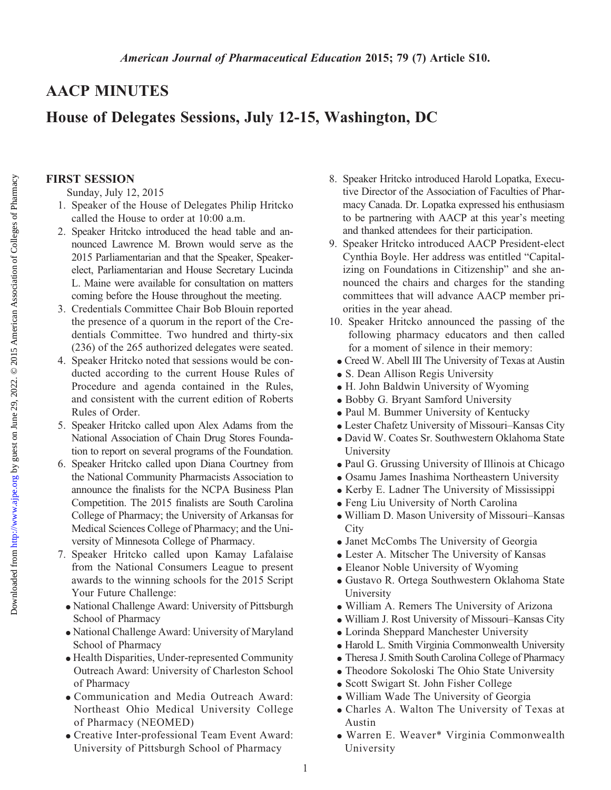# AACP MINUTES

# House of Delegates Sessions, July 12-15, Washington, DC

#### FIRST SESSION

Sunday, July 12, 2015

- 1. Speaker of the House of Delegates Philip Hritcko called the House to order at 10:00 a.m.
- 2. Speaker Hritcko introduced the head table and announced Lawrence M. Brown would serve as the 2015 Parliamentarian and that the Speaker, Speakerelect, Parliamentarian and House Secretary Lucinda L. Maine were available for consultation on matters coming before the House throughout the meeting.
- 3. Credentials Committee Chair Bob Blouin reported the presence of a quorum in the report of the Credentials Committee. Two hundred and thirty-six (236) of the 265 authorized delegates were seated.
- 4. Speaker Hritcko noted that sessions would be conducted according to the current House Rules of Procedure and agenda contained in the Rules, and consistent with the current edition of Roberts Rules of Order.
- 5. Speaker Hritcko called upon Alex Adams from the National Association of Chain Drug Stores Foundation to report on several programs of the Foundation.
- 6. Speaker Hritcko called upon Diana Courtney from the National Community Pharmacists Association to announce the finalists for the NCPA Business Plan Competition. The 2015 finalists are South Carolina College of Pharmacy; the University of Arkansas for Medical Sciences College of Pharmacy; and the University of Minnesota College of Pharmacy.
- 7. Speaker Hritcko called upon Kamay Lafalaise from the National Consumers League to present awards to the winning schools for the 2015 Script Your Future Challenge:
	- <sup>d</sup> National Challenge Award: University of Pittsburgh School of Pharmacy
	- National Challenge Award: University of Maryland School of Pharmacy
	- <sup>d</sup> Health Disparities, Under-represented Community Outreach Award: University of Charleston School of Pharmacy
	- <sup>d</sup> Communication and Media Outreach Award: Northeast Ohio Medical University College of Pharmacy (NEOMED)
	- <sup>d</sup> Creative Inter-professional Team Event Award: University of Pittsburgh School of Pharmacy
- 8. Speaker Hritcko introduced Harold Lopatka, Executive Director of the Association of Faculties of Pharmacy Canada. Dr. Lopatka expressed his enthusiasm to be partnering with AACP at this year's meeting and thanked attendees for their participation.
- 9. Speaker Hritcko introduced AACP President-elect Cynthia Boyle. Her address was entitled "Capitalizing on Foundations in Citizenship" and she announced the chairs and charges for the standing committees that will advance AACP member priorities in the year ahead.
- 10. Speaker Hritcko announced the passing of the following pharmacy educators and then called for a moment of silence in their memory:
	- <sup>d</sup> Creed W. Abell III The University of Texas at Austin
	- S. Dean Allison Regis University
	- H. John Baldwin University of Wyoming
	- Bobby G. Bryant Samford University
	- Paul M. Bummer University of Kentucky
	- <sup>d</sup> Lester Chafetz University of Missouri–Kansas City
	- <sup>d</sup> David W. Coates Sr. Southwestern Oklahoma State University
	- Paul G. Grussing University of Illinois at Chicago
	- <sup>d</sup> Osamu James Inashima Northeastern University
	- Kerby E. Ladner The University of Mississippi
	- <sup>d</sup> Feng Liu University of North Carolina
	- <sup>d</sup> William D. Mason University of Missouri–Kansas **City**
	- Janet McCombs The University of Georgia
	- <sup>d</sup> Lester A. Mitscher The University of Kansas
	- Eleanor Noble University of Wyoming
	- <sup>d</sup> Gustavo R. Ortega Southwestern Oklahoma State University
	- <sup>d</sup> William A. Remers The University of Arizona
	- <sup>d</sup> William J. Rost University of Missouri–Kansas City
	- Lorinda Sheppard Manchester University
	- $\bullet$  Harold L. Smith Virginia Commonwealth University
	- Theresa J. Smith South Carolina College of Pharmacy
	- Theodore Sokoloski The Ohio State University
	- <sup>d</sup> Scott Swigart St. John Fisher College
	- William Wade The University of Georgia
	- <sup>d</sup> Charles A. Walton The University of Texas at Austin
	- <sup>d</sup> Warren E. Weaver\* Virginia Commonwealth University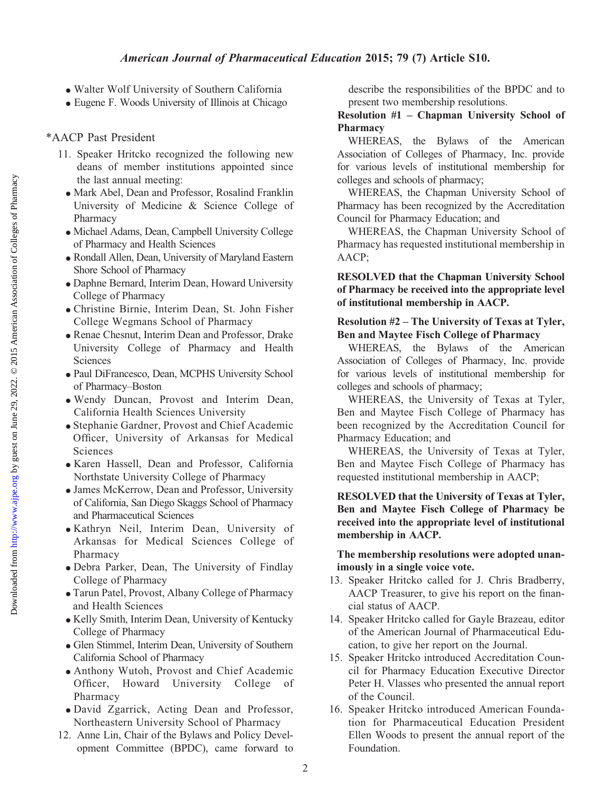#### American Journal of Pharmaceutical Education 2015; 79 (7) Article S10.

- Walter Wolf University of Southern California
- Eugene F. Woods University of Illinois at Chicago

#### \*AACP Past President

- 11. Speaker Hritcko recognized the following new deans of member institutions appointed since the last annual meeting:
- Mark Abel, Dean and Professor, Rosalind Franklin University of Medicine & Science College of Pharmacy
- <sup>d</sup> Michael Adams, Dean, Campbell University College of Pharmacy and Health Sciences
- Rondall Allen, Dean, University of Maryland Eastern Shore School of Pharmacy
- Daphne Bernard, Interim Dean, Howard University College of Pharmacy
- <sup>d</sup> Christine Birnie, Interim Dean, St. John Fisher College Wegmans School of Pharmacy
- <sup>d</sup> Renae Chesnut, Interim Dean and Professor, Drake University College of Pharmacy and Health Sciences
- <sup>d</sup> Paul DiFrancesco, Dean, MCPHS University School of Pharmacy–Boston
- <sup>d</sup> Wendy Duncan, Provost and Interim Dean, California Health Sciences University
- <sup>d</sup> Stephanie Gardner, Provost and Chief Academic Officer, University of Arkansas for Medical Sciences
- <sup>d</sup> Karen Hassell, Dean and Professor, California Northstate University College of Pharmacy
- James McKerrow, Dean and Professor, University of California, San Diego Skaggs School of Pharmacy and Pharmaceutical Sciences
- <sup>d</sup> Kathryn Neil, Interim Dean, University of Arkansas for Medical Sciences College of Pharmacy
- <sup>d</sup> Debra Parker, Dean, The University of Findlay College of Pharmacy
- Tarun Patel, Provost, Albany College of Pharmacy and Health Sciences
- Kelly Smith, Interim Dean, University of Kentucky College of Pharmacy
- Glen Stimmel, Interim Dean, University of Southern California School of Pharmacy
- <sup>d</sup> Anthony Wutoh, Provost and Chief Academic Officer, Howard University College of Pharmacy
- <sup>d</sup> David Zgarrick, Acting Dean and Professor, Northeastern University School of Pharmacy
- 12. Anne Lin, Chair of the Bylaws and Policy Development Committee (BPDC), came forward to

describe the responsibilities of the BPDC and to present two membership resolutions.

## Resolution #1 – Chapman University School of Pharmacy

WHEREAS, the Bylaws of the American Association of Colleges of Pharmacy, Inc. provide for various levels of institutional membership for colleges and schools of pharmacy;

WHEREAS, the Chapman University School of Pharmacy has been recognized by the Accreditation Council for Pharmacy Education; and

WHEREAS, the Chapman University School of Pharmacy has requested institutional membership in AACP;

#### RESOLVED that the Chapman University School of Pharmacy be received into the appropriate level of institutional membership in AACP.

#### Resolution #2 – The University of Texas at Tyler, Ben and Maytee Fisch College of Pharmacy

WHEREAS, the Bylaws of the American Association of Colleges of Pharmacy, Inc. provide for various levels of institutional membership for colleges and schools of pharmacy;

WHEREAS, the University of Texas at Tyler, Ben and Maytee Fisch College of Pharmacy has been recognized by the Accreditation Council for Pharmacy Education; and

WHEREAS, the University of Texas at Tyler, Ben and Maytee Fisch College of Pharmacy has requested institutional membership in AACP;

## RESOLVED that the University of Texas at Tyler, Ben and Maytee Fisch College of Pharmacy be received into the appropriate level of institutional membership in AACP.

### The membership resolutions were adopted unanimously in a single voice vote.

- 13. Speaker Hritcko called for J. Chris Bradberry, AACP Treasurer, to give his report on the financial status of AACP.
- 14. Speaker Hritcko called for Gayle Brazeau, editor of the American Journal of Pharmaceutical Education, to give her report on the Journal.
- 15. Speaker Hritcko introduced Accreditation Council for Pharmacy Education Executive Director Peter H. Vlasses who presented the annual report of the Council.
- 16. Speaker Hritcko introduced American Foundation for Pharmaceutical Education President Ellen Woods to present the annual report of the Foundation.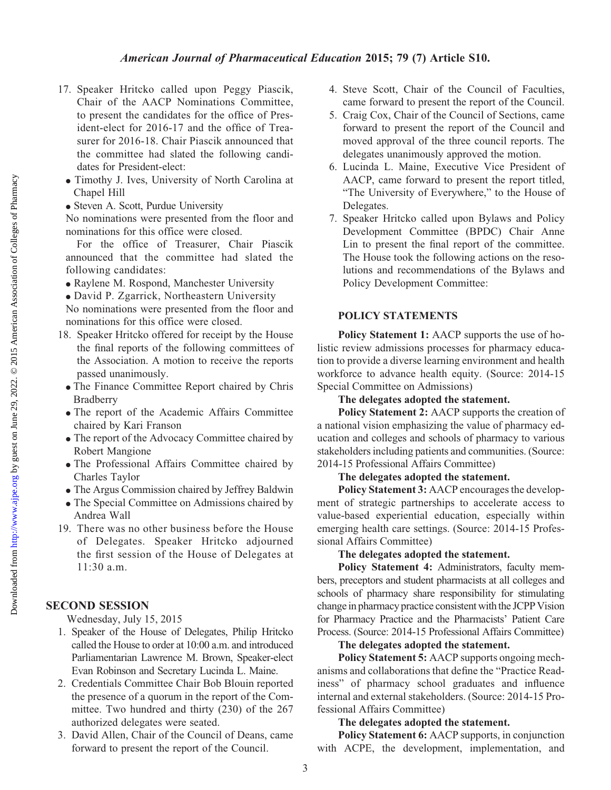### American Journal of Pharmaceutical Education 2015; 79 (7) Article S10.

- 17. Speaker Hritcko called upon Peggy Piascik, Chair of the AACP Nominations Committee, to present the candidates for the office of President-elect for 2016-17 and the office of Treasurer for 2016-18. Chair Piascik announced that the committee had slated the following candidates for President-elect:
- Timothy J. Ives, University of North Carolina at Chapel Hill
- Steven A. Scott, Purdue University

No nominations were presented from the floor and nominations for this office were closed.

For the office of Treasurer, Chair Piascik announced that the committee had slated the following candidates:

- Raylene M. Rospond, Manchester University
- <sup>d</sup> David P. Zgarrick, Northeastern University

No nominations were presented from the floor and nominations for this office were closed.

- 18. Speaker Hritcko offered for receipt by the House the final reports of the following committees of the Association. A motion to receive the reports passed unanimously.
- The Finance Committee Report chaired by Chris Bradberry
- The report of the Academic Affairs Committee chaired by Kari Franson
- The report of the Advocacy Committee chaired by Robert Mangione
- <sup>d</sup> The Professional Affairs Committee chaired by Charles Taylor
- $\bullet$  The Argus Commission chaired by Jeffrey Baldwin
- The Special Committee on Admissions chaired by Andrea Wall
- 19. There was no other business before the House of Delegates. Speaker Hritcko adjourned the first session of the House of Delegates at 11:30 a.m.

# SECOND SESSION

Wednesday, July 15, 2015

- 1. Speaker of the House of Delegates, Philip Hritcko called the House to order at 10:00 a.m. and introduced Parliamentarian Lawrence M. Brown, Speaker-elect Evan Robinson and Secretary Lucinda L. Maine.
- 2. Credentials Committee Chair Bob Blouin reported the presence of a quorum in the report of the Committee. Two hundred and thirty (230) of the 267 authorized delegates were seated.
- 3. David Allen, Chair of the Council of Deans, came forward to present the report of the Council.
- 4. Steve Scott, Chair of the Council of Faculties, came forward to present the report of the Council.
- 5. Craig Cox, Chair of the Council of Sections, came forward to present the report of the Council and moved approval of the three council reports. The delegates unanimously approved the motion.
- 6. Lucinda L. Maine, Executive Vice President of AACP, came forward to present the report titled, "The University of Everywhere," to the House of Delegates.
- 7. Speaker Hritcko called upon Bylaws and Policy Development Committee (BPDC) Chair Anne Lin to present the final report of the committee. The House took the following actions on the resolutions and recommendations of the Bylaws and Policy Development Committee:

#### POLICY STATEMENTS

Policy Statement 1: AACP supports the use of holistic review admissions processes for pharmacy education to provide a diverse learning environment and health workforce to advance health equity. (Source: 2014-15 Special Committee on Admissions)

## The delegates adopted the statement.

Policy Statement 2: AACP supports the creation of a national vision emphasizing the value of pharmacy education and colleges and schools of pharmacy to various stakeholders including patients and communities. (Source: 2014-15 Professional Affairs Committee)

## The delegates adopted the statement.

Policy Statement 3: AACP encourages the development of strategic partnerships to accelerate access to value-based experiential education, especially within emerging health care settings. (Source: 2014-15 Professional Affairs Committee)

#### The delegates adopted the statement.

Policy Statement 4: Administrators, faculty members, preceptors and student pharmacists at all colleges and schools of pharmacy share responsibility for stimulating change in pharmacy practice consistent with the JCPP Vision for Pharmacy Practice and the Pharmacists' Patient Care Process. (Source: 2014-15 Professional Affairs Committee)

## The delegates adopted the statement.

Policy Statement 5: AACP supports ongoing mechanisms and collaborations that define the "Practice Readiness" of pharmacy school graduates and influence internal and external stakeholders. (Source: 2014-15 Professional Affairs Committee)

#### The delegates adopted the statement.

Policy Statement 6: AACP supports, in conjunction with ACPE, the development, implementation, and